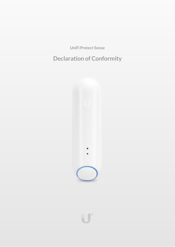**UniFi Protect Sense**

# **Declaration of Conformity**



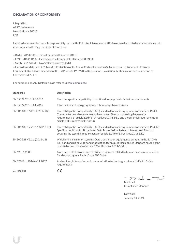# **DECLARATION OF CONFORMITY**

Ubiquiti Inc. 685 Third Avenue NewYork, NY 10017 USA

Hereby declares under our sole responsibility thatthe**UniFiProtect Sense**, model **UP-Sense**, to which this declaration relates, is in conformancewith the provisions of Directives

- Radio 2014/53/EU Radio Equipment Directive (RED)
- EMC- 2014/30/EU Electromagnetic Compatibility Directive (EMCD)
- Safety 2014/35/EU Low Voltage Directive (LVD)

• HazardousMaterials - 2011/65/EU Restriction oftheUse ofCertain Hazardous Substances in Electrical and Electronic Equipment(RoHS) with amendment(EU) 2015/863; 1907/2006 Registration, Evaluation, Authorization and Restriction of Chemicals (REACH)

For additional REACH details, please refer to [ui.com/compliance](https://www.ui.com/compliance/)

| <b>Standards</b>               | <b>Description</b>                                                                                                                                                                                                                                                                                   |
|--------------------------------|------------------------------------------------------------------------------------------------------------------------------------------------------------------------------------------------------------------------------------------------------------------------------------------------------|
| FN 55032:2015+AC:2016          | Electromagnetic compatibility of multimedia equipment - Emission requirements                                                                                                                                                                                                                        |
| EN 55024:2010+A1:2015          | Information technology equipment - Immunity characteristics                                                                                                                                                                                                                                          |
| EN 301 489-1 V2.1.1 (2017-02)  | ElectroMagnetic Compatibility (EMC) standard for radio equipment and services; Part 1:<br>Common technical requirements; Harmonised Standard covering the essential<br>requirements of article 3.1(b) of Directive 2014/53/EU and the essential requirements of<br>article 6 of Directive 2014/30/EU |
| EN 301 489-17 V3.1.1 (2017-02) | ElectroMagnetic Compatibility (EMC) standard for radio equipment and services; Part 17:<br>Specific conditions for Broadband Data Transmission Systems; Harmonised Standard<br>covering the essential requirements of article 3.1(b) of Directive 2014/53/EU                                         |
| EN 300 328 V2.1.1 (2016-11)    | Wideband transmission systems; Data transmission equipment operating in the 2,4 GHz<br>ISM band and using wide band modulation techniques; Harmonised Standard covering the<br>essential requirements of article 3.2 of Directive 2014/53/EU                                                         |
| EN 62311:2008                  | Assessment of electronic and electrical equipment related to human exposure restrictions<br>for electromagnetic fields (0 Hz - 300 GHz)                                                                                                                                                              |
| EN 62368-1:2014+A11:2017       | Audio/video, information and communication technology equipment - Part 1: Safety<br>requirements                                                                                                                                                                                                     |
| <b>CE</b> Marking              |                                                                                                                                                                                                                                                                                                      |

 $\Rightarrow$ Je m. <sup>-</sup>  $\mathcal{P}$ 

Mark Feil Compliance Manager

NewYork January 14, 2021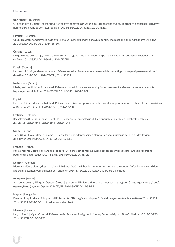## **UP-Sense**

## **български** [Bulgarian]

С настоящото Ubiquiti декларира, че това устройство UP-Sense е в съответствие със съществените изисквания и други приложими разпоредби на Директиви 2014/53/EC, 2014/30/ЕС, 2014/35/ЕС.

## **Hrvatski** [Croatian]

Ubiquiti ovim putem izjavljuje da je ovaj uređaj UP-Sense sukladan osnovnim zahtjevima i ostalim bitnim odredbama Direktiva 2014/53/EU, 2014/30/EU, 2014/35/EU.

## **Čeština** [Czech]

Ubiquititímto prohlašuje, že toto UP-Sense zařízení, je ve shodě se základními požadavky a dalšími příslušnými ustanoveními směrnic 2014/53/EU, 2014/30/EU, 2014/35/EU.

## **Dansk** [Danish]

Hermed, Ubiquiti, erklærer atdenneUP-Sense enhed, er i overensstemmelse med de væsentlige krav og øvrige relevante krav i direktiver 2014/53/EU, 2014/30/EU, 2014/35/EU.

## **Nederlands** [Dutch]

Hierbij verklaartUbiquiti, datdezeUP-Sense apparaat, in overeenstemming is metde essentiële eisen en de andere relevante bepalingen van richtlijnen 2014/53/EU, 2014/30/EU, 2014/35/EU.

#### **English**

Hereby, Ubiquiti, declares that this UP-Sense device, is in compliance with the essential requirements and other relevant provisions of Directives 2014/53/EU, 2014/30/EU, 2014/35/EU.

## **Eesti keel** [Estonian]

Käesolevaga Ubiquiti kinnitab, et antud UP-Sense seade, on vastavus olulistele nõuetele ja teistele asjakohastele sätetele direktiivide2014/53/EL, 2014/30/EL, 2014/35/EL.

#### **Suomi** [Finnish]

Täten Ubiquiti vakuuttaa, että tämä UP-Sense laite, on yhdenmukainen olennaisten vaatimusten ja muiden sitä koskevien direktiivien 2014/53/EU, 2014/30/EU, 2014/35/EU.

## **Français** [French]

Par la présente Ubiquiti déclare que l'appareil UP-Sense, est conforme aux exigences essentielles et aux autres dispositions pertinentes des directives 2014/53/UE, 2014/30/UE, 2014/35/UE.

#### **Deutsch** [German]

HiermiterklärtUbiquiti, dass sich dieses UP-SenseGerät, in Übereinstimmung mitden grundlegenden Anforderungen und den anderen relevanten Vorschriften der Richtlinien 2014/53/EU, 2014/30/EU, 2014/35/EU befindet.

#### **Ελληνικά** [Greek]

Δια του παρόντος, Ubiquiti, δηλώνει ότι αυτή η συσκευή UP-Sense, είναι σεσυµµόρφωση µε τις βασικές απαιτήσεις καιτις λοιπές σχετικές διατάξεις των οδηγιών 2014/53/EE, 2014/30/EE, 2014/35/EE.

#### **Magyar** [Hungarian]

Ezennel Ubiquiti kijelenti, hogy ez a UP-Sense készülék megfelel az alapvető követelményeknek és más vonatkozó 2014/53/EU, 2014/30/EU, 2014/35/EU irányelvek rendelkezéseit.

#### **Íslenska** [Icelandic]

Hér, Ubiquiti, því yfir að þetta UP-Sense tæki er í samræmi við grunnkröfur og önnur viðeigandi ákvæði tilskipana 2014/53/ESB, 2014/30/ESB, 2014/35/ESB.